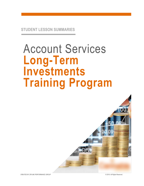# Account Services **Long-Term Investments Training Program**

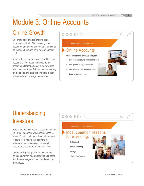## Module 3: Online Accounts

### Online Growth

Our online accounts are growing at an unprecedented rate. We're gaining new customers and accounts every day, leading to an increased demand on our online support staff.

In the last year, we have not only added new accounts online, but online accounts are becoming a larger portion of our overall longterm investments portfolio. Our customers rely on the speed and ease of being able to start investments and manage them online.

| 000 32                                                                                                                                                                                                                | C I       |
|-----------------------------------------------------------------------------------------------------------------------------------------------------------------------------------------------------------------------|-----------|
| <b>LONG-TERM INVESTMENTS MODULE 3</b>                                                                                                                                                                                 |           |
| Online Accounts<br>Online investments grew 23% last year:<br>35% of new accounts were online only<br>۰<br>18% growth in support demand<br>$\bullet$<br>30% overall growth in online traffic<br>4 new investment types | سانب الاس |

### **Understanding** Investors

Before you begin supporting customers online, you must understand why people choose to invest. For our customers, the most common reasons for investing are planning for retirement, family planning, preparing for college, and setting up a "rainy day" fund.

Understanding the goals of our customers helps ensure that you are ready to help them find the right long-term investment option for their needs.